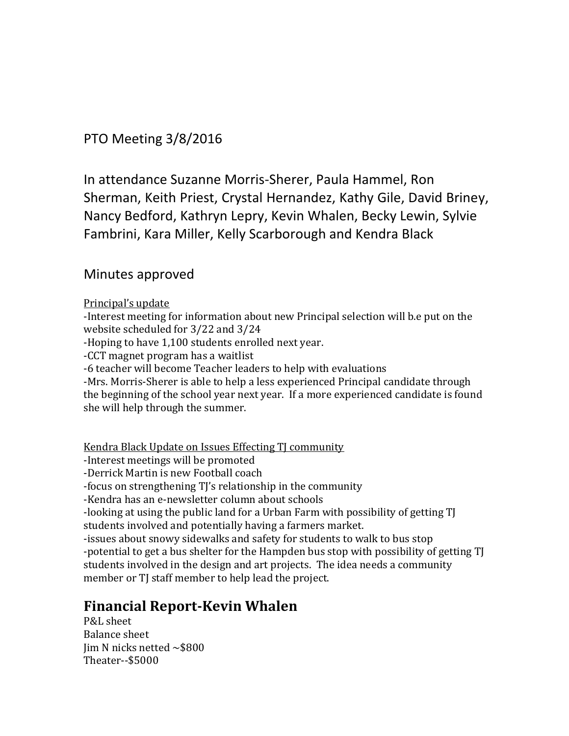PTO Meeting 3/8/2016

In attendance Suzanne Morris-Sherer, Paula Hammel, Ron Sherman, Keith Priest, Crystal Hernandez, Kathy Gile, David Briney, Nancy Bedford, Kathryn Lepry, Kevin Whalen, Becky Lewin, Sylvie Fambrini, Kara Miller, Kelly Scarborough and Kendra Black

## Minutes approved

## Principal's update

-Interest meeting for information about new Principal selection will b.e put on the website scheduled for 3/22 and 3/24

-Hoping to have 1,100 students enrolled next year.

-CCT magnet program has a waitlist

-6 teacher will become Teacher leaders to help with evaluations

-Mrs. Morris-Sherer is able to help a less experienced Principal candidate through the beginning of the school year next year. If a more experienced candidate is found she will help through the summer.

Kendra Black Update on Issues Effecting TJ community

-Interest meetings will be promoted

-Derrick Martin is new Football coach

-focus on strengthening TJ's relationship in the community

-Kendra has an e-newsletter column about schools

-looking at using the public land for a Urban Farm with possibility of getting TJ students involved and potentially having a farmers market.

-issues about snowy sidewalks and safety for students to walk to bus stop -potential to get a bus shelter for the Hampden bus stop with possibility of getting TJ students involved in the design and art projects. The idea needs a community member or TJ staff member to help lead the project.

## **Financial Report-Kevin Whalen**

P&L sheet Balance sheet Jim N nicks netted  $\sim$ \$800 Theater--\$5000